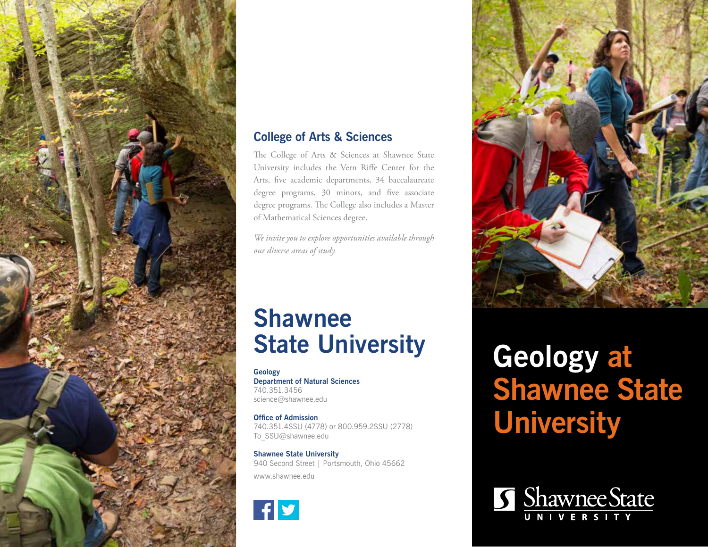

### **College of Arts & Sciences**

The College of Arts & Sciences at Shawnee State University includes the Vern Riffe Center for the Arts, five academic departments, 34 baccalaureate degree programs, 30 minors, and five associate degree programs. The College also includes a Master of Mathematical Sciences degree.

*We invite you to explore opportunities available through our diverse areas of study.*

## **Shawnee State University**

**Geology Department of Natural Sciences** 740.351.3456 science@shawnee.edu

**Office of Admission** 740.351.4SSU (4778) or 800.959.2SSU (2778) To\_SSU@shawnee.edu

**Shawnee State University** 940 Second Street | Portsmouth, Ohio 45662 www.shawnee.edu

 $|f|$ y



# **Geology at Shawnee State University**